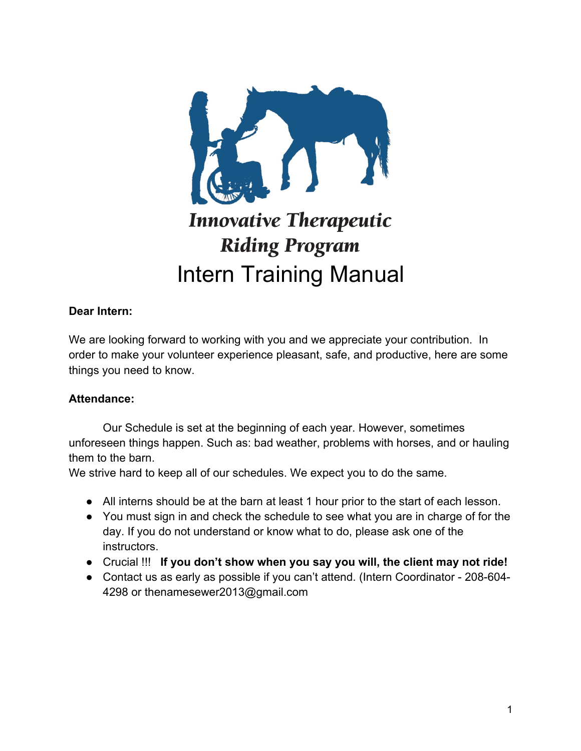

# **Innovative Therapeutic Riding Program** Intern Training Manual

#### **Dear Intern:**

We are looking forward to working with you and we appreciate your contribution. In order to make your volunteer experience pleasant, safe, and productive, here are some things you need to know.

#### **Attendance:**

Our Schedule is set at the beginning of each year. However, sometimes unforeseen things happen. Such as: bad weather, problems with horses, and or hauling them to the barn.

We strive hard to keep all of our schedules. We expect you to do the same.

- All interns should be at the barn at least 1 hour prior to the start of each lesson.
- You must sign in and check the schedule to see what you are in charge of for the day. If you do not understand or know what to do, please ask one of the instructors.
- Crucial !!! **If you don't show when you say you will, the client may not ride!**
- Contact us as early as possible if you can't attend. (Intern Coordinator 208-604- 4298 or thenamesewer2013@gmail.com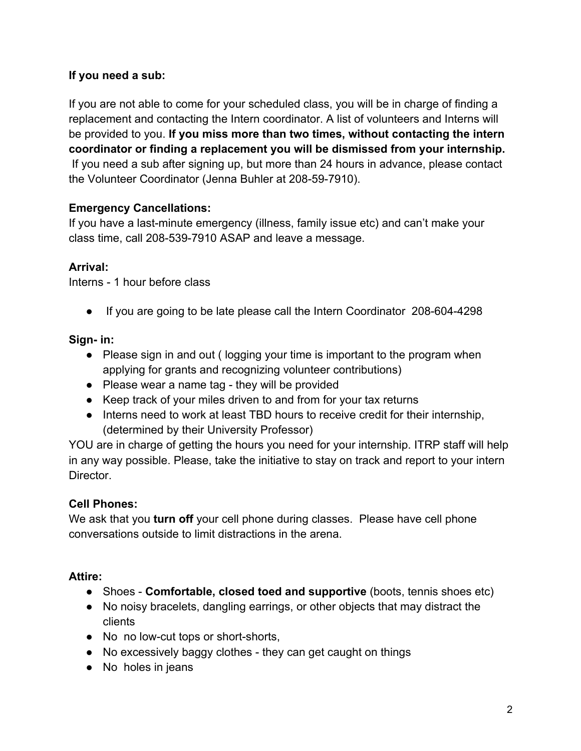#### **If you need a sub:**

If you are not able to come for your scheduled class, you will be in charge of finding a replacement and contacting the Intern coordinator. A list of volunteers and Interns will be provided to you. **If you miss more than two times, without contacting the intern coordinator or finding a replacement you will be dismissed from your internship.** If you need a sub after signing up, but more than 24 hours in advance, please contact the Volunteer Coordinator (Jenna Buhler at 208-59-7910).

#### **Emergency Cancellations:**

If you have a last-minute emergency (illness, family issue etc) and can't make your class time, call 208-539-7910 ASAP and leave a message.

#### **Arrival:**

Interns - 1 hour before class

● If you are going to be late please call the Intern Coordinator 208-604-4298

#### **Sign- in:**

- Please sign in and out (logging your time is important to the program when applying for grants and recognizing volunteer contributions)
- Please wear a name tag they will be provided
- Keep track of your miles driven to and from for your tax returns
- Interns need to work at least TBD hours to receive credit for their internship, (determined by their University Professor)

YOU are in charge of getting the hours you need for your internship. ITRP staff will help in any way possible. Please, take the initiative to stay on track and report to your intern Director.

#### **Cell Phones:**

We ask that you **turn off** your cell phone during classes. Please have cell phone conversations outside to limit distractions in the arena.

#### **Attire:**

- Shoes **Comfortable, closed toed and supportive** (boots, tennis shoes etc)
- No noisy bracelets, dangling earrings, or other objects that may distract the clients
- No no low-cut tops or short-shorts,
- No excessively baggy clothes they can get caught on things
- No holes in jeans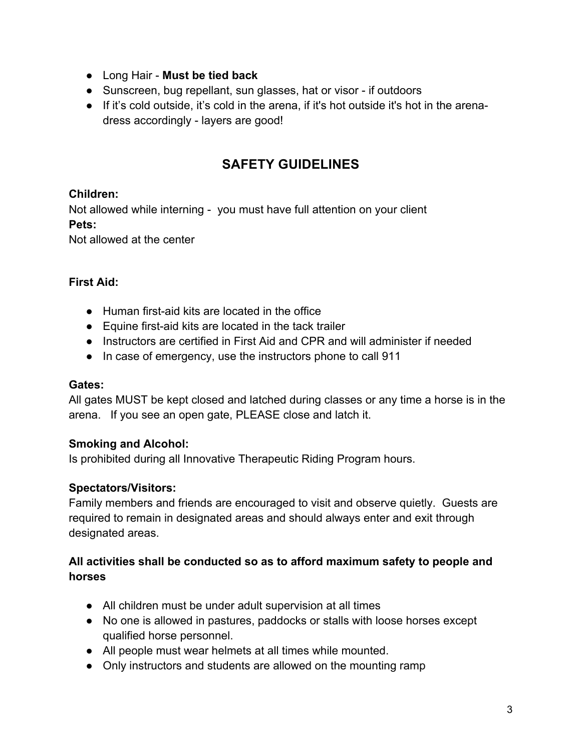- Long Hair **Must be tied back**
- Sunscreen, bug repellant, sun glasses, hat or visor if outdoors
- If it's cold outside, it's cold in the arena, if it's hot outside it's hot in the arenadress accordingly - layers are good!

### **SAFETY GUIDELINES**

#### **Children:**

Not allowed while interning - you must have full attention on your client **Pets:** 

Not allowed at the center

#### **First Aid:**

- Human first-aid kits are located in the office
- Equine first-aid kits are located in the tack trailer
- Instructors are certified in First Aid and CPR and will administer if needed
- In case of emergency, use the instructors phone to call 911

#### **Gates:**

All gates MUST be kept closed and latched during classes or any time a horse is in the arena. If you see an open gate, PLEASE close and latch it.

#### **Smoking and Alcohol:**

Is prohibited during all Innovative Therapeutic Riding Program hours.

#### **Spectators/Visitors:**

Family members and friends are encouraged to visit and observe quietly. Guests are required to remain in designated areas and should always enter and exit through designated areas.

#### **All activities shall be conducted so as to afford maximum safety to people and horses**

- All children must be under adult supervision at all times
- No one is allowed in pastures, paddocks or stalls with loose horses except qualified horse personnel.
- All people must wear helmets at all times while mounted.
- Only instructors and students are allowed on the mounting ramp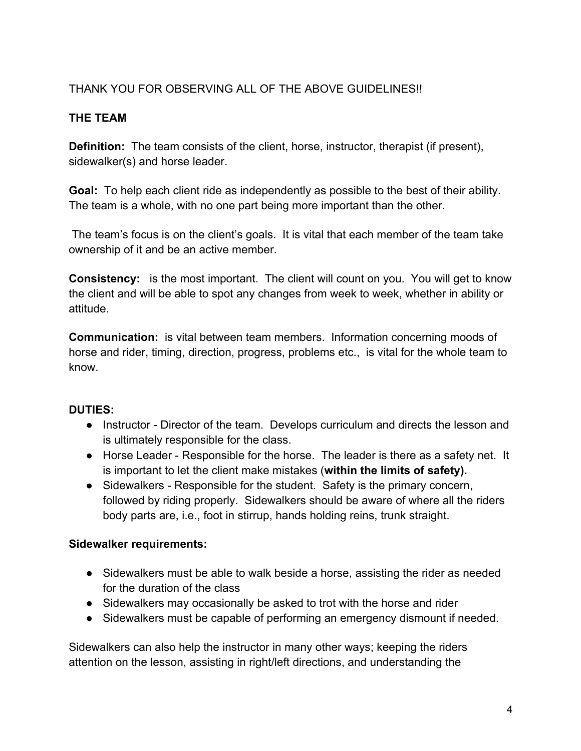#### THANK YOU FOR OBSERVING ALL OF THE ABOVE GUIDELINES!!

#### **THE TEAM**

**Definition:** The team consists of the client, horse, instructor, therapist (if present), sidewalker(s) and horse leader.

**Goal:** To help each client ride as independently as possible to the best of their ability. The team is a whole, with no one part being more important than the other.

The team's focus is on the client's goals. It is vital that each member of the team take ownership of it and be an active member.

**Consistency:** is the most important. The client will count on you. You will get to know the client and will be able to spot any changes from week to week, whether in ability or attitude.

**Communication:** is vital between team members. Information concerning moods of horse and rider, timing, direction, progress, problems etc., is vital for the whole team to know.

#### **DUTIES:**

- Instructor Director of the team. Develops curriculum and directs the lesson and is ultimately responsible for the class.
- Horse Leader Responsible for the horse. The leader is there as a safety net. It is important to let the client make mistakes (**within the limits of safety).**
- Sidewalkers Responsible for the student. Safety is the primary concern, followed by riding properly. Sidewalkers should be aware of where all the riders body parts are, i.e., foot in stirrup, hands holding reins, trunk straight.

#### **Sidewalker requirements:**

- Sidewalkers must be able to walk beside a horse, assisting the rider as needed for the duration of the class
- Sidewalkers may occasionally be asked to trot with the horse and rider
- Sidewalkers must be capable of performing an emergency dismount if needed.

Sidewalkers can also help the instructor in many other ways; keeping the riders attention on the lesson, assisting in right/left directions, and understanding the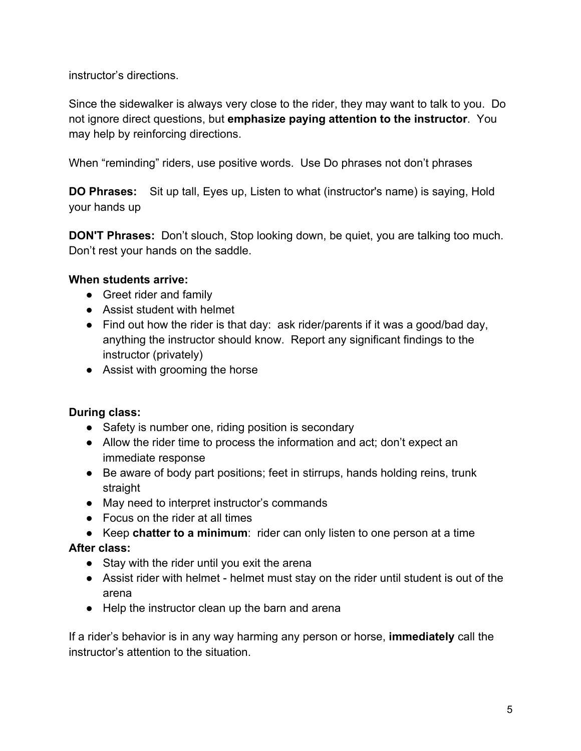instructor's directions.

Since the sidewalker is always very close to the rider, they may want to talk to you. Do not ignore direct questions, but **emphasize paying attention to the instructor**. You may help by reinforcing directions.

When "reminding" riders, use positive words. Use Do phrases not don't phrases

**DO Phrases:** Sit up tall, Eyes up, Listen to what (instructor's name) is saying, Hold your hands up

**DON'T Phrases:** Don't slouch, Stop looking down, be quiet, you are talking too much. Don't rest your hands on the saddle.

#### **When students arrive:**

- Greet rider and family
- Assist student with helmet
- $\bullet$  Find out how the rider is that day: ask rider/parents if it was a good/bad day, anything the instructor should know. Report any significant findings to the instructor (privately)
- Assist with grooming the horse

#### **During class:**

- Safety is number one, riding position is secondary
- Allow the rider time to process the information and act; don't expect an immediate response
- Be aware of body part positions; feet in stirrups, hands holding reins, trunk straight
- May need to interpret instructor's commands
- Focus on the rider at all times
- Keep **chatter to a minimum**: rider can only listen to one person at a time

#### **After class:**

- Stay with the rider until you exit the arena
- Assist rider with helmet helmet must stay on the rider until student is out of the arena
- Help the instructor clean up the barn and arena

If a rider's behavior is in any way harming any person or horse, **immediately** call the instructor's attention to the situation.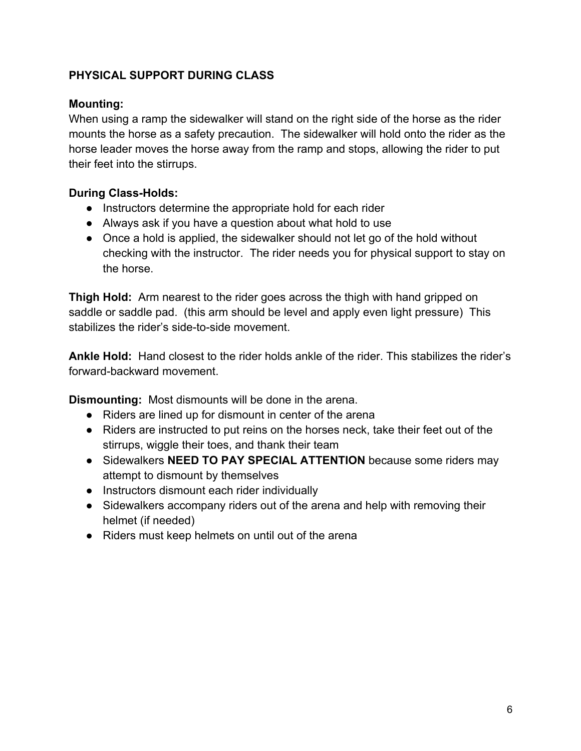#### **PHYSICAL SUPPORT DURING CLASS**

#### **Mounting:**

When using a ramp the sidewalker will stand on the right side of the horse as the rider mounts the horse as a safety precaution. The sidewalker will hold onto the rider as the horse leader moves the horse away from the ramp and stops, allowing the rider to put their feet into the stirrups.

#### **During Class-Holds:**

- Instructors determine the appropriate hold for each rider
- Always ask if you have a question about what hold to use
- Once a hold is applied, the sidewalker should not let go of the hold without checking with the instructor. The rider needs you for physical support to stay on the horse.

**Thigh Hold:** Arm nearest to the rider goes across the thigh with hand gripped on saddle or saddle pad. (this arm should be level and apply even light pressure) This stabilizes the rider's side-to-side movement.

**Ankle Hold:** Hand closest to the rider holds ankle of the rider. This stabilizes the rider's forward-backward movement.

**Dismounting:** Most dismounts will be done in the arena.

- Riders are lined up for dismount in center of the arena
- Riders are instructed to put reins on the horses neck, take their feet out of the stirrups, wiggle their toes, and thank their team
- Sidewalkers **NEED TO PAY SPECIAL ATTENTION** because some riders may attempt to dismount by themselves
- Instructors dismount each rider individually
- Sidewalkers accompany riders out of the arena and help with removing their helmet (if needed)
- Riders must keep helmets on until out of the arena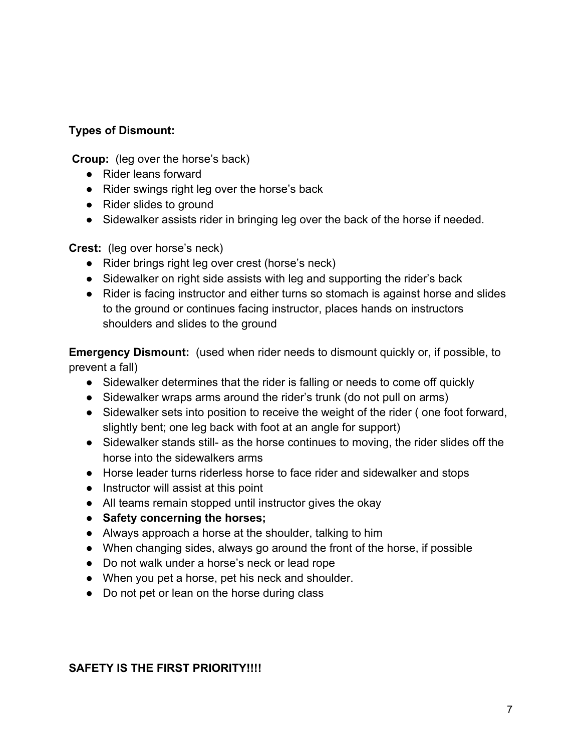#### **Types of Dismount:**

**Croup:** (leg over the horse's back)

- Rider leans forward
- Rider swings right leg over the horse's back
- Rider slides to ground
- Sidewalker assists rider in bringing leg over the back of the horse if needed.

**Crest:** (leg over horse's neck)

- Rider brings right leg over crest (horse's neck)
- Sidewalker on right side assists with leg and supporting the rider's back
- Rider is facing instructor and either turns so stomach is against horse and slides to the ground or continues facing instructor, places hands on instructors shoulders and slides to the ground

**Emergency Dismount:** (used when rider needs to dismount quickly or, if possible, to prevent a fall)

- Sidewalker determines that the rider is falling or needs to come off quickly
- Sidewalker wraps arms around the rider's trunk (do not pull on arms)
- Sidewalker sets into position to receive the weight of the rider (one foot forward, slightly bent; one leg back with foot at an angle for support)
- Sidewalker stands still- as the horse continues to moving, the rider slides off the horse into the sidewalkers arms
- Horse leader turns riderless horse to face rider and sidewalker and stops
- Instructor will assist at this point
- All teams remain stopped until instructor gives the okay
- **Safety concerning the horses;**
- Always approach a horse at the shoulder, talking to him
- When changing sides, always go around the front of the horse, if possible
- Do not walk under a horse's neck or lead rope
- When you pet a horse, pet his neck and shoulder.
- Do not pet or lean on the horse during class

#### **SAFETY IS THE FIRST PRIORITY!!!!**